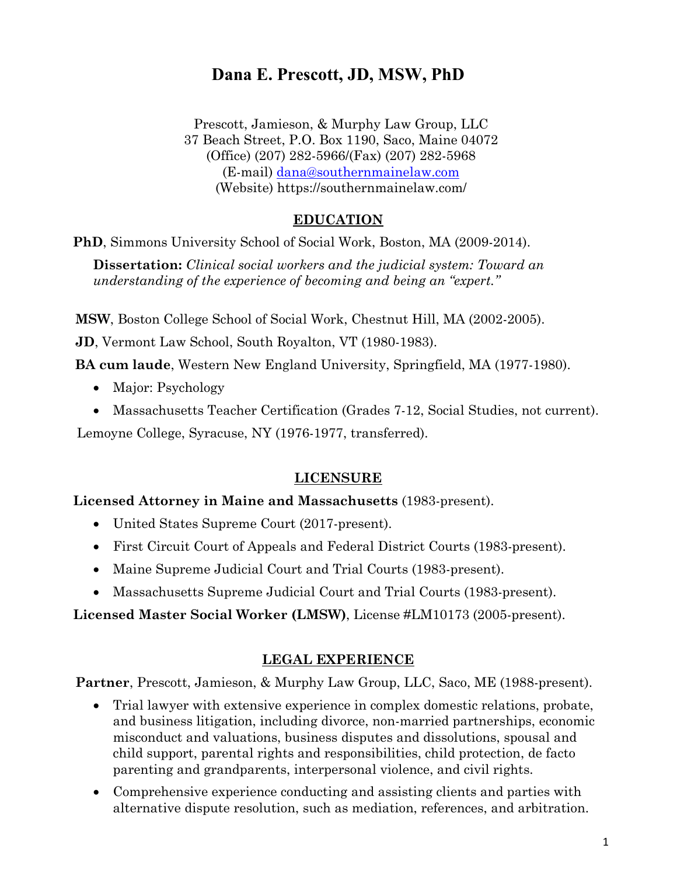Prescott, Jamieson, & Murphy Law Group, LLC 37 Beach Street, P.O. Box 1190, Saco, Maine 04072 (Office) (207) 282-5966/(Fax) (207) 282-5968 (E-mail) [dana@southernmainelaw.com](mailto:dana@southernmainelaw.com) (Website) https://southernmainelaw.com/

#### **EDUCATION**

**PhD**, Simmons University School of Social Work, Boston, MA (2009-2014).

**Dissertation:** *Clinical social workers and the judicial system: Toward an understanding of the experience of becoming and being an "expert."*

 **MSW**, Boston College School of Social Work, Chestnut Hill, MA (2002-2005).

**JD**, Vermont Law School, South Royalton, VT (1980-1983).

**BA cum laude**, Western New England University, Springfield, MA (1977-1980).

- Major: Psychology
- Massachusetts Teacher Certification (Grades 7-12, Social Studies, not current).

Lemoyne College, Syracuse, NY (1976-1977, transferred).

#### **LICENSURE**

#### **Licensed Attorney in Maine and Massachusetts** (1983-present).

- United States Supreme Court (2017-present).
- First Circuit Court of Appeals and Federal District Courts (1983-present).
- Maine Supreme Judicial Court and Trial Courts (1983-present).
- Massachusetts Supreme Judicial Court and Trial Courts (1983-present).

**Licensed Master Social Worker (LMSW)**, License #LM10173 (2005-present).

#### **LEGAL EXPERIENCE**

 **Partner**, Prescott, Jamieson, & Murphy Law Group, LLC, Saco, ME (1988-present).

- Trial lawyer with extensive experience in complex domestic relations, probate, and business litigation, including divorce, non-married partnerships, economic misconduct and valuations, business disputes and dissolutions, spousal and child support, parental rights and responsibilities, child protection, de facto parenting and grandparents, interpersonal violence, and civil rights.
- Comprehensive experience conducting and assisting clients and parties with alternative dispute resolution, such as mediation, references, and arbitration.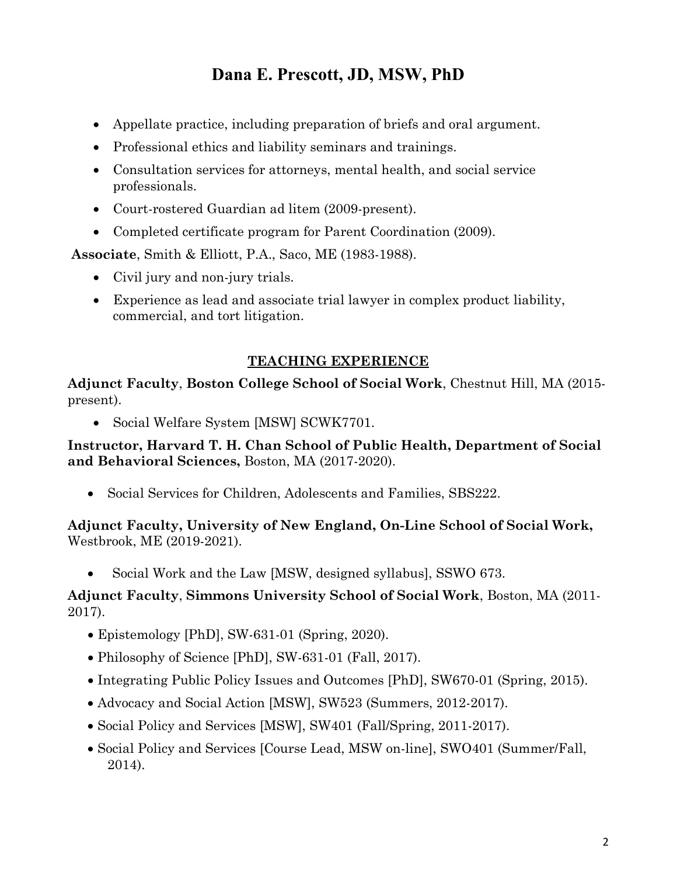- Appellate practice, including preparation of briefs and oral argument.
- Professional ethics and liability seminars and trainings.
- Consultation services for attorneys, mental health, and social service professionals.
- Court-rostered Guardian ad litem (2009-present).
- Completed certificate program for Parent Coordination (2009).

 **Associate**, Smith & Elliott, P.A., Saco, ME (1983-1988).

- Civil jury and non-jury trials.
- Experience as lead and associate trial lawyer in complex product liability, commercial, and tort litigation.

#### **TEACHING EXPERIENCE**

**Adjunct Faculty**, **Boston College School of Social Work**, Chestnut Hill, MA (2015 present).

• Social Welfare System [MSW] SCWK7701.

**Instructor, Harvard T. H. Chan School of Public Health, Department of Social and Behavioral Sciences,** Boston, MA (2017-2020).

• Social Services for Children, Adolescents and Families, SBS222.

**Adjunct Faculty, University of New England, On-Line School of Social Work,**  Westbrook, ME (2019-2021).

• Social Work and the Law [MSW, designed syllabus], SSWO 673.

#### **Adjunct Faculty**, **Simmons University School of Social Work**, Boston, MA (2011- 2017).

- Epistemology [PhD], SW-631-01 (Spring, 2020).
- Philosophy of Science [PhD], SW-631-01 (Fall, 2017).
- Integrating Public Policy Issues and Outcomes [PhD], SW670-01 (Spring, 2015).
- Advocacy and Social Action [MSW], SW523 (Summers, 2012-2017).
- Social Policy and Services [MSW], SW401 (Fall/Spring, 2011-2017).
- Social Policy and Services [Course Lead, MSW on-line], SWO401 (Summer/Fall, 2014).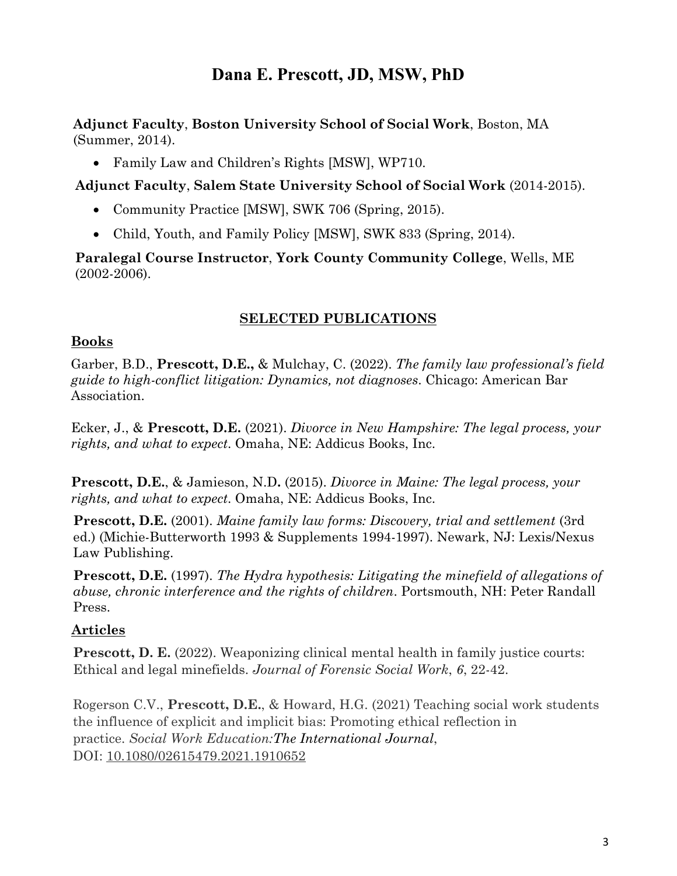**Adjunct Faculty**, **Boston University School of Social Work**, Boston, MA (Summer, 2014).

• Family Law and Children's Rights [MSW], WP710.

 **Adjunct Faculty**, **Salem State University School of Social Work** (2014-2015).

- Community Practice [MSW], SWK 706 (Spring, 2015).
- Child, Youth, and Family Policy [MSW], SWK 833 (Spring, 2014).

**Paralegal Course Instructor**, **York County Community College**, Wells, ME (2002-2006).

#### **SELECTED PUBLICATIONS**

#### **Books**

Garber, B.D., **Prescott, D.E.,** & Mulchay, C. (2022). *The family law professional's field guide to high-conflict litigation: Dynamics, not diagnoses*. Chicago: American Bar Association.

Ecker, J., & **Prescott, D.E.** (2021). *Divorce in New Hampshire: The legal process, your rights, and what to expect*. Omaha, NE: Addicus Books, Inc.

**Prescott, D.E.**, & Jamieson, N.D**.** (2015). *Divorce in Maine: The legal process, your rights, and what to expect*. Omaha, NE: Addicus Books, Inc.

**Prescott, D.E.** (2001). *Maine family law forms: Discovery, trial and settlement* (3rd ed.) (Michie-Butterworth 1993 & Supplements 1994-1997). Newark, NJ: Lexis/Nexus Law Publishing.

**Prescott, D.E.** (1997). *The Hydra hypothesis: Litigating the minefield of allegations of abuse, chronic interference and the rights of children*. Portsmouth, NH: Peter Randall Press.

#### **Articles**

**Prescott, D. E.** (2022). Weaponizing clinical mental health in family justice courts: Ethical and legal minefields. *Journal of Forensic Social Work*, *6*, 22-42.

Rogerson C.V., **Prescott, D.E.**, & Howard, H.G. (2021) Teaching social work students the influence of explicit and implicit bias: Promoting ethical reflection in practice. *Social Work Education:The International Journal*, DOI: [10.1080/02615479.2021.1910652](https://doi.org/10.1080/02615479.2021.1910652)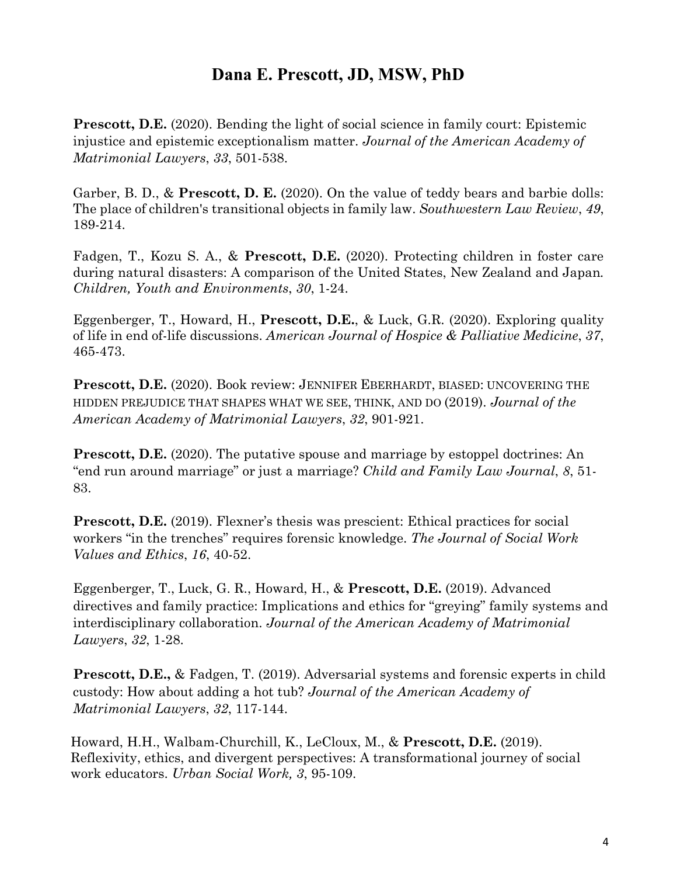**Prescott, D.E.** (2020). Bending the light of social science in family court: Epistemic injustice and epistemic exceptionalism matter. *Journal of the American Academy of Matrimonial Lawyers*, *33*, 501-538.

Garber, B. D., & **Prescott, D. E.** (2020). On the value of teddy bears and barbie dolls: The place of children's transitional objects in family law. *Southwestern Law Review*, *49*, 189-214.

Fadgen, T., Kozu S. A., & **Prescott, D.E.** (2020). Protecting children in foster care during natural disasters: A comparison of the United States, New Zealand and Japan*. Children, Youth and Environments*, *30*, 1-24.

Eggenberger, T., Howard, H., **Prescott, D.E.**, & Luck, G.R. (2020). Exploring quality of life in end of-life discussions. *American Journal of Hospice & Palliative Medicine*, *37*, 465-473.

**Prescott, D.E.** (2020). Book review: JENNIFER EBERHARDT, BIASED: UNCOVERING THE HIDDEN PREJUDICE THAT SHAPES WHAT WE SEE, THINK, AND DO (2019). *Journal of the American Academy of Matrimonial Lawyers*, *32*, 901-921.

**Prescott, D.E.** (2020). The putative spouse and marriage by estoppel doctrines: An "end run around marriage" or just a marriage? *Child and Family Law Journal*, *8*, 51- 83.

**Prescott, D.E.** (2019). Flexner's thesis was prescient: Ethical practices for social workers "in the trenches" requires forensic knowledge. *The Journal of Social Work Values and Ethics*, *16*, 40-52.

Eggenberger, T., Luck, G. R., [Howard,](http://cdsi.fau.edu/ssw/people/heather-howard) [H.,](http://cdsi.fau.edu/ssw/people/heather-howard) [&](http://cdsi.fau.edu/ssw/people/heather-howard) **[Prescott,](http://cdsi.fau.edu/ssw/people/heather-howard) [D.E.](http://cdsi.fau.edu/ssw/people/heather-howard)** [\(2019\). Ad](http://cdsi.fau.edu/ssw/people/heather-howard)vanced directives and family practice: Implications and ethics for "greying" family systems and interdisciplinary collaboration. *Journal of the American Academy of Matrimonial Lawyers*, *32*, 1-28.

**Prescott, D.E., & Fadgen, T. (2019). Adversarial systems and forensic experts in child** custody: How about adding a hot tub? *Journal of the American Academy of Matrimonial Lawyers*, *32*, 117-144.

Howard, H.H., Walbam-Churchill, K., LeCloux, M., & **Prescott, D.E.** (2019). Reflexivity, ethics, and divergent perspectives: A transformational journey of social work educators. *Urban Social Work, 3*, 95-109.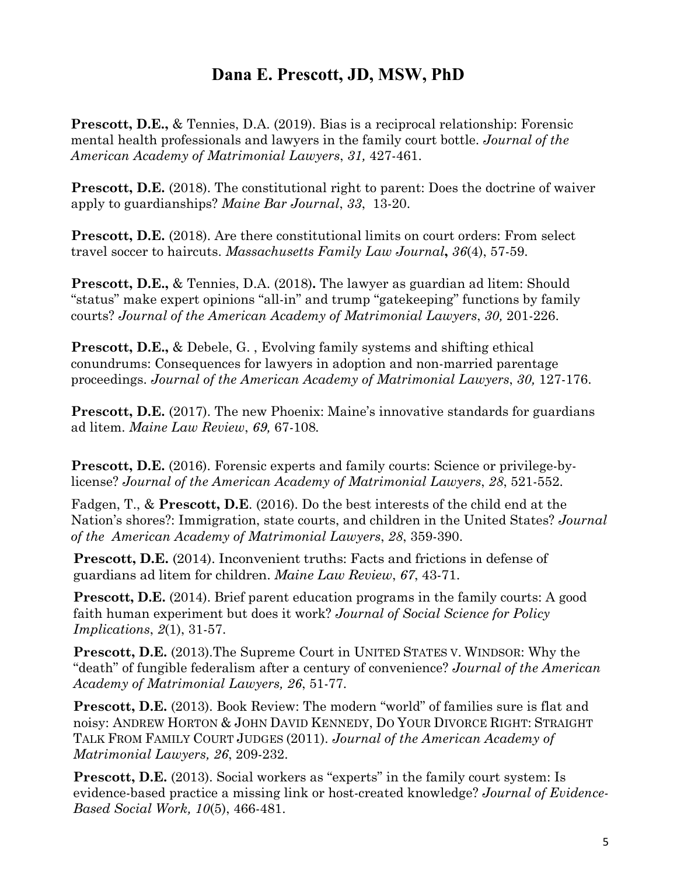**Prescott, D.E.,** & Tennies, D.A. (2019). Bias is a reciprocal relationship: Forensic mental health professionals and lawyers in the family court bottle. *Journal of the American Academy of Matrimonial Lawyers*, *31,* 427-461.

**Prescott, D.E.** (2018). The constitutional right to parent: Does the doctrine of waiver apply to guardianships? *Maine Bar Journal*, *33*, 13-20.

**Prescott, D.E.** (2018). Are there constitutional limits on court orders: From select travel soccer to haircuts. *Massachusetts Family Law Journal***,** *36*(4), 57-59.

**Prescott, D.E.,** & Tennies, D.A. (2018)**.** The lawyer as guardian ad litem: Should "status" make expert opinions "all-in" and trump "gatekeeping" functions by family courts? *Journal of the American Academy of Matrimonial Lawyers*, *30,* 201-226.

**Prescott, D.E.,** & Debele, G. , Evolving family systems and shifting ethical conundrums: Consequences for lawyers in adoption and non-married parentage proceedings. *Journal of the American Academy of Matrimonial Lawyers*, *30,* 127-176.

**Prescott, D.E.** (2017). The new Phoenix: Maine's innovative standards for guardians ad litem. *Maine Law Review*, *69,* 67*-*108*.* 

**Prescott, D.E.** (2016). Forensic experts and family courts: Science or privilege-bylicense? *Journal of the American Academy of Matrimonial Lawyers*, *28*, 521-552.

Fadgen, T., & **Prescott, D.E**. (2016). Do the best interests of the child end at the Nation's shores?: Immigration, state courts, and children in the United States? *Journal of the American Academy of Matrimonial Lawyers*, *28*, 359-390.

**Prescott, D.E.** (2014). Inconvenient truths: Facts and frictions in defense of guardians ad litem for children. *Maine Law Review*, *67*, 43-71.

**Prescott, D.E.** (2014). Brief parent education programs in the family courts: A good faith human experiment but does it work? *Journal of Social Science for Policy Implications*, *2*(1), 31-57.

**Prescott, D.E.** (2013).The Supreme Court in UNITED STATES V. WINDSOR: Why the "death" of fungible federalism after a century of convenience? *Journal of the American Academy of Matrimonial Lawyers, 26*, 51-77.

**Prescott, D.E.** (2013). Book Review: The modern "world" of families sure is flat and noisy: [ANDREW HORTON](https://www.amazon.com/Andrew-Horton/e/B001K8LWXA/ref=dp_byline_cont_book_1) & [JOHN DAVID KENNEDY,](https://www.amazon.com/John-David-Kennedy/e/B005SZ03BI/ref=dp_byline_cont_book_2) DO YOUR DIVORCE RIGHT: STRAIGHT TALK FROM FAMILY COURT JUDGES (2011). *Journal of the American Academy of Matrimonial Lawyers, 26*, 209-232.

**Prescott, D.E.** (2013). Social workers as "experts" in the family court system: Is evidence-based practice a missing link or host-created knowledge? *Journal of Evidence-Based Social Work, 10*(5), 466-481.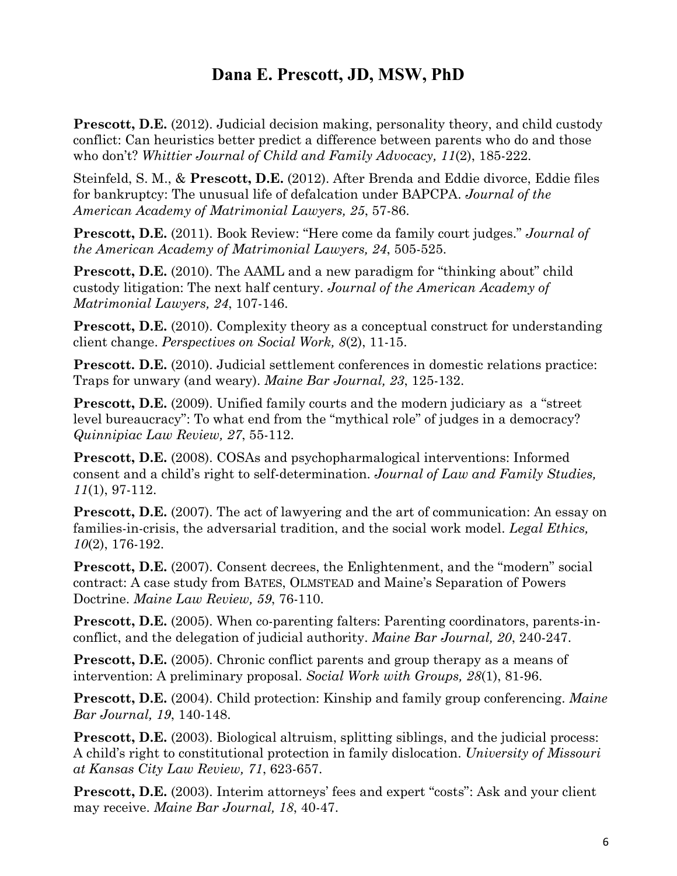**Prescott, D.E.** (2012). Judicial decision making, personality theory, and child custody conflict: Can heuristics better predict a difference between parents who do and those who don't? *Whittier Journal of Child and Family Advocacy, 11*(2), 185-222.

Steinfeld, S. M., & **Prescott, D.E.** (2012). After Brenda and Eddie divorce, Eddie files for bankruptcy: The unusual life of defalcation under BAPCPA. *Journal of the American Academy of Matrimonial Lawyers, 25*, 57-86.

**Prescott, D.E.** (2011). Book Review: "Here come da family court judges." *Journal of the American Academy of Matrimonial Lawyers, 24*, 505-525.

**Prescott, D.E.** (2010). The AAML and a new paradigm for "thinking about" child custody litigation: The next half century. *Journal of the American Academy of Matrimonial Lawyers, 24*, 107-146.

**Prescott, D.E.** (2010). Complexity theory as a conceptual construct for understanding client change. *Perspectives on Social Work, 8*(2), 11-15.

**Prescott. D.E.** (2010). Judicial settlement conferences in domestic relations practice: Traps for unwary (and weary). *Maine Bar Journal, 23*, 125-132.

**Prescott, D.E.** (2009). Unified family courts and the modern judiciary as a "street" level bureaucracy": To what end from the "mythical role" of judges in a democracy? *Quinnipiac Law Review, 27*, 55-112.

**Prescott, D.E.** (2008). COSAs and psychopharmalogical interventions: Informed consent and a child's right to self-determination. *Journal of Law and Family Studies, 11*(1), 97-112.

**Prescott, D.E.** (2007). The act of lawyering and the art of communication: An essay on families-in-crisis, the adversarial tradition, and the social work model. *Legal Ethics, 10*(2), 176-192.

**Prescott, D.E.** (2007). Consent decrees, the Enlightenment, and the "modern" social contract: A case study from BATES, OLMSTEAD and Maine's Separation of Powers Doctrine. *Maine Law Review, 59*, 76-110.

**Prescott, D.E.** (2005). When co-parenting falters: Parenting coordinators, parents-inconflict, and the delegation of judicial authority. *Maine Bar Journal, 20*, 240-247.

**Prescott, D.E.** (2005). Chronic conflict parents and group therapy as a means of intervention: A preliminary proposal. *Social Work with Groups, 28*(1), 81-96.

**Prescott, D.E.** (2004). Child protection: Kinship and family group conferencing. *Maine Bar Journal, 19*, 140-148.

**Prescott, D.E.** (2003). Biological altruism, splitting siblings, and the judicial process: A child's right to constitutional protection in family dislocation. *University of Missouri at Kansas City Law Review, 71*, 623-657.

**Prescott, D.E.** (2003). Interim attorneys' fees and expert "costs": Ask and your client may receive. *Maine Bar Journal, 18*, 40-47.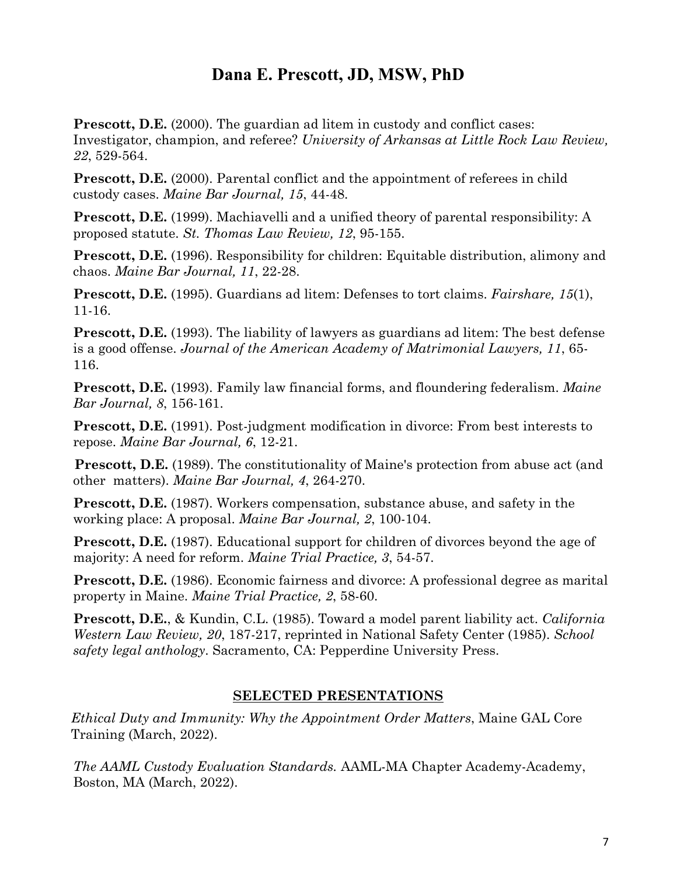**Prescott, D.E.** (2000). The guardian ad litem in custody and conflict cases: Investigator, champion, and referee? *University of Arkansas at Little Rock Law Review, 22*, 529-564.

**Prescott, D.E.** (2000). Parental conflict and the appointment of referees in child custody cases. *Maine Bar Journal, 15*, 44-48.

**Prescott, D.E.** (1999). Machiavelli and a unified theory of parental responsibility: A proposed statute. *St. Thomas Law Review, 12*, 95-155.

**Prescott, D.E.** (1996). Responsibility for children: Equitable distribution, alimony and chaos. *Maine Bar Journal, 11*, 22-28.

**Prescott, D.E.** (1995). Guardians ad litem: Defenses to tort claims. *Fairshare, 15*(1), 11-16.

**Prescott, D.E.** (1993). The liability of lawyers as guardians ad litem: The best defense is a good offense. *Journal of the American Academy of Matrimonial Lawyers, 11*, 65- 116.

**Prescott, D.E.** (1993). Family law financial forms, and floundering federalism. *Maine Bar Journal, 8*, 156-161.

**Prescott, D.E.** (1991). Post-judgment modification in divorce: From best interests to repose. *Maine Bar Journal, 6*, 12-21.

**Prescott, D.E.** (1989). The constitutionality of Maine's protection from abuse act (and other matters). *Maine Bar Journal, 4*, 264-270.

**Prescott, D.E.** (1987). Workers compensation, substance abuse, and safety in the working place: A proposal. *Maine Bar Journal, 2*, 100-104.

**Prescott, D.E.** (1987). Educational support for children of divorces beyond the age of majority: A need for reform. *Maine Trial Practice, 3*, 54-57.

**Prescott, D.E.** (1986). Economic fairness and divorce: A professional degree as marital property in Maine. *Maine Trial Practice, 2*, 58-60.

**Prescott, D.E.**, & Kundin, C.L. (1985). Toward a model parent liability act. *California Western Law Review, 20*, 187-217, reprinted in National Safety Center (1985). *School safety legal anthology*. Sacramento, CA: Pepperdine University Press.

#### **SELECTED PRESENTATIONS**

*Ethical Duty and Immunity: Why the Appointment Order Matters*, Maine GAL Core Training (March, 2022).

*The AAML Custody Evaluation Standards.* AAML-MA Chapter Academy-Academy, Boston, MA (March, 2022).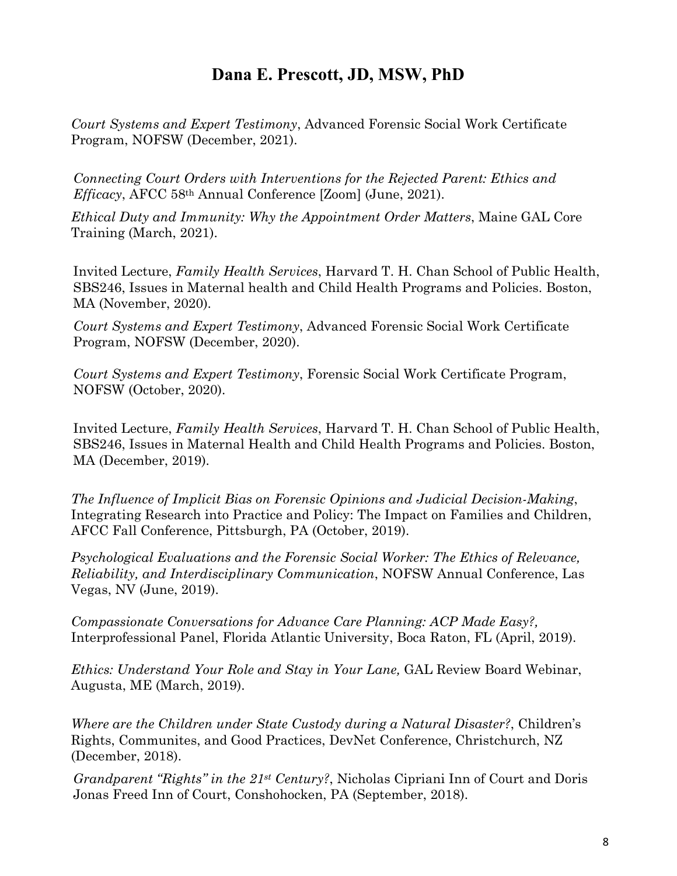*Court Systems and Expert Testimony*, Advanced Forensic Social Work Certificate Program, NOFSW (December, 2021).

*Connecting Court Orders with Interventions for the Rejected Parent: Ethics and Efficacy*, AFCC 58th Annual Conference [Zoom] (June, 2021).

*Ethical Duty and Immunity: Why the Appointment Order Matters*, Maine GAL Core Training (March, 2021).

Invited Lecture, *Family Health Services*, Harvard T. H. Chan School of Public Health, SBS246, Issues in Maternal health and Child Health Programs and Policies. Boston, MA (November, 2020).

*Court Systems and Expert Testimony*, Advanced Forensic Social Work Certificate Program, NOFSW (December, 2020).

*Court Systems and Expert Testimony*, Forensic Social Work Certificate Program, NOFSW (October, 2020).

Invited Lecture, *Family Health Services*, Harvard T. H. Chan School of Public Health, SBS246, Issues in Maternal Health and Child Health Programs and Policies. Boston, MA (December, 2019).

*The Influence of Implicit Bias on Forensic Opinions and Judicial Decision-Making*, Integrating Research into Practice and Policy: The Impact on Families and Children, AFCC Fall Conference, Pittsburgh, PA (October, 2019).

*Psychological Evaluations and the Forensic Social Worker: The Ethics of Relevance, Reliability, and Interdisciplinary Communication*, NOFSW Annual Conference, Las Vegas, NV (June, 2019).

*Compassionate Conversations for Advance Care Planning: ACP Made Easy?,*  Interprofessional Panel, Florida Atlantic University, Boca Raton, FL (April, 2019).

*Ethics: Understand Your Role and Stay in Your Lane,* GAL Review Board Webinar, Augusta, ME (March, 2019).

*Where are the Children under State Custody during a Natural Disaster?*, Children's Rights, Communites, and Good Practices, DevNet Conference, Christchurch, NZ (December, 2018).

*Grandparent "Rights" in the 21st Century?*, Nicholas Cipriani Inn of Court and Doris Jonas Freed Inn of Court, Conshohocken, PA (September, 2018).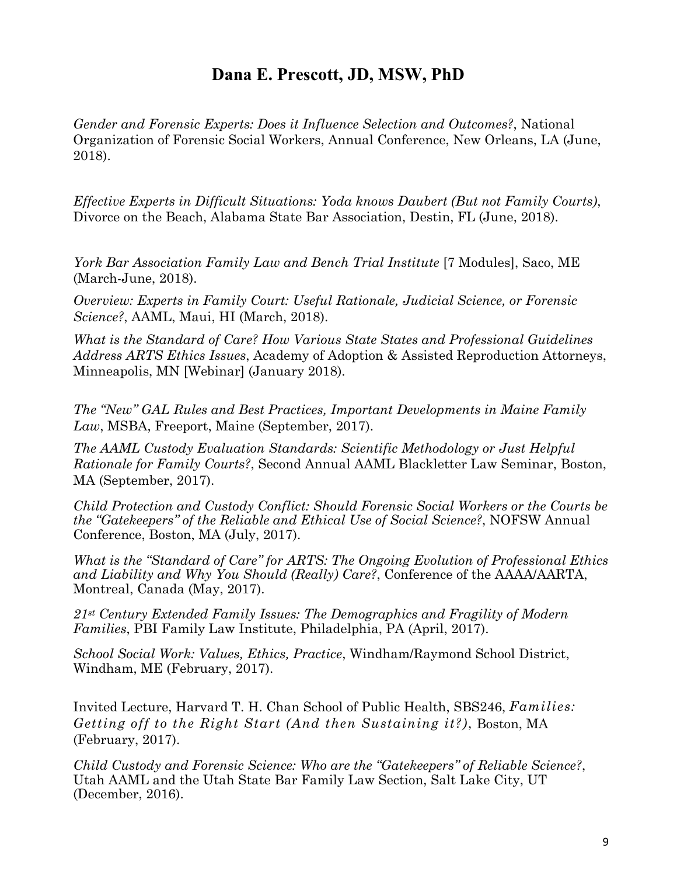*Gender and Forensic Experts: Does it Influence Selection and Outcomes?*, National Organization of Forensic Social Workers, Annual Conference, New Orleans, LA (June, 2018).

*Effective Experts in Difficult Situations: Yoda knows Daubert (But not Family Courts)*, Divorce on the Beach, Alabama State Bar Association, Destin, FL (June, 2018).

*York Bar Association Family Law and Bench Trial Institute* [7 Modules], Saco, ME (March-June, 2018).

*Overview: Experts in Family Court: Useful Rationale, Judicial Science, or Forensic Science?*, AAML, Maui, HI (March, 2018).

*What is the Standard of Care? How Various State States and Professional Guidelines Address ARTS Ethics Issues*, Academy of Adoption & Assisted Reproduction Attorneys, Minneapolis, MN [Webinar] (January 2018).

*The "New" GAL Rules and Best Practices, Important Developments in Maine Family Law*, MSBA, Freeport, Maine (September, 2017).

*The AAML Custody Evaluation Standards: Scientific Methodology or Just Helpful Rationale for Family Courts?*, Second Annual AAML Blackletter Law Seminar, Boston, MA (September, 2017).

*Child Protection and Custody Conflict: Should Forensic Social Workers or the Courts be the "Gatekeepers" of the Reliable and Ethical Use of Social Science?*, NOFSW Annual Conference, Boston, MA (July, 2017).

*What is the "Standard of Care" for ARTS: The Ongoing Evolution of Professional Ethics and Liability and Why You Should (Really) Care?*, Conference of the AAAA/AARTA, Montreal, Canada (May, 2017).

*21st Century Extended Family Issues: The Demographics and Fragility of Modern Families*, PBI Family Law Institute, Philadelphia, PA (April, 2017).

*School Social Work: Values, Ethics, Practice*, Windham/Raymond School District, Windham, ME (February, 2017).

Invited Lecture, Harvard T. H. Chan School of Public Health, SBS246, *Families: Getting off to the Right Start (And then Sustaining it?)*, Boston, MA (February, 2017).

*Child Custody and Forensic Science: Who are the "Gatekeepers" of Reliable Science?*, Utah AAML and the Utah State Bar Family Law Section, Salt Lake City, UT (December, 2016).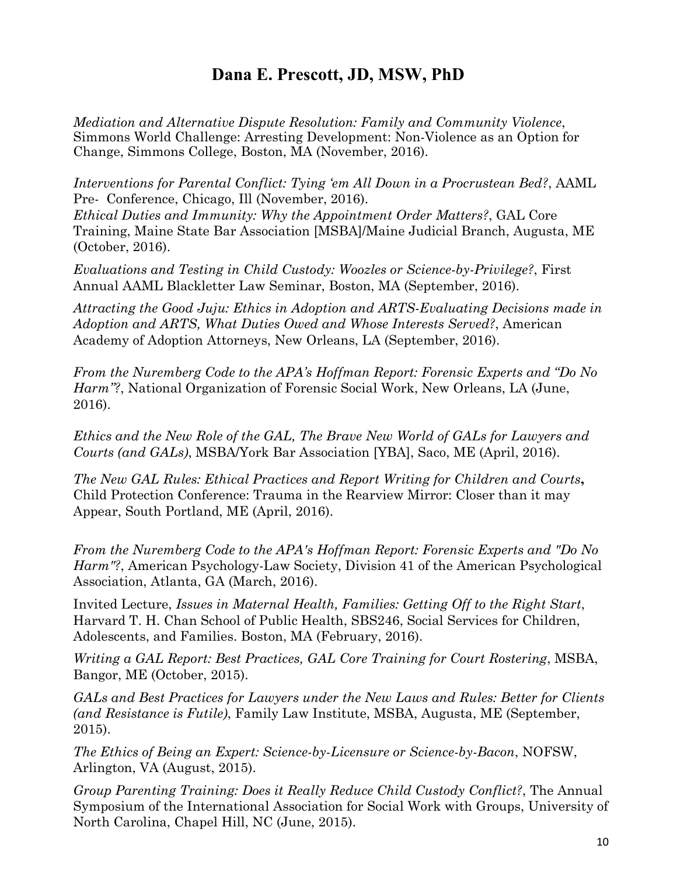*Mediation and Alternative Dispute Resolution: Family and Community Violence*, Simmons World Challenge: Arresting Development: Non-Violence as an Option for Change, Simmons College, Boston, MA (November, 2016).

*Interventions for Parental Conflict: Tying 'em All Down in a Procrustean Bed?*, AAML Pre- Conference, Chicago, Ill (November, 2016).

*Ethical Duties and Immunity: Why the Appointment Order Matters?*, GAL Core Training, Maine State Bar Association [MSBA]/Maine Judicial Branch, Augusta, ME (October, 2016).

*Evaluations and Testing in Child Custody: Woozles or Science-by-Privilege?*, First Annual AAML Blackletter Law Seminar, Boston, MA (September, 2016).

*Attracting the Good Juju: Ethics in Adoption and ARTS-Evaluating Decisions made in Adoption and ARTS, What Duties Owed and Whose Interests Served?*, American Academy of Adoption Attorneys, New Orleans, LA (September, 2016).

*From the Nuremberg Code to the APA's Hoffman Report: Forensic Experts and "Do No Harm"?*, National Organization of Forensic Social Work, New Orleans, LA (June, 2016).

*Ethics and the New Role of the GAL, The Brave New World of GALs for Lawyers and Courts (and GALs)*, MSBA/York Bar Association [YBA], Saco, ME (April, 2016).

*The New GAL Rules: Ethical Practices and Report Writing for Children and Courts***,**  Child Protection Conference: Trauma in the Rearview Mirror: Closer than it may Appear, South Portland, ME (April, 2016).

*From the Nuremberg Code to the APA's Hoffman Report: Forensic Experts and "Do No Harm"?*, American Psychology-Law Society, Division 41 of the American Psychological Association, Atlanta, GA (March, 2016).

Invited Lecture, *Issues in Maternal Health, Families: Getting Off to the Right Start*, Harvard T. H. Chan School of Public Health, SBS246, Social Services for Children, Adolescents, and Families. Boston, MA (February, 2016).

*Writing a GAL Report: Best Practices, GAL Core Training for Court Rostering*, MSBA, Bangor, ME (October, 2015).

*GALs and Best Practices for Lawyers under the New Laws and Rules: Better for Clients (and Resistance is Futile)*, Family Law Institute, MSBA, Augusta, ME (September, 2015).

*The Ethics of Being an Expert: Science-by-Licensure or Science-by-Bacon*, NOFSW, Arlington, VA (August, 2015).

*Group Parenting Training: Does it Really Reduce Child Custody Conflict?*, The Annual Symposium of the International Association for Social Work with Groups, University of North Carolina, Chapel Hill, NC (June, 2015).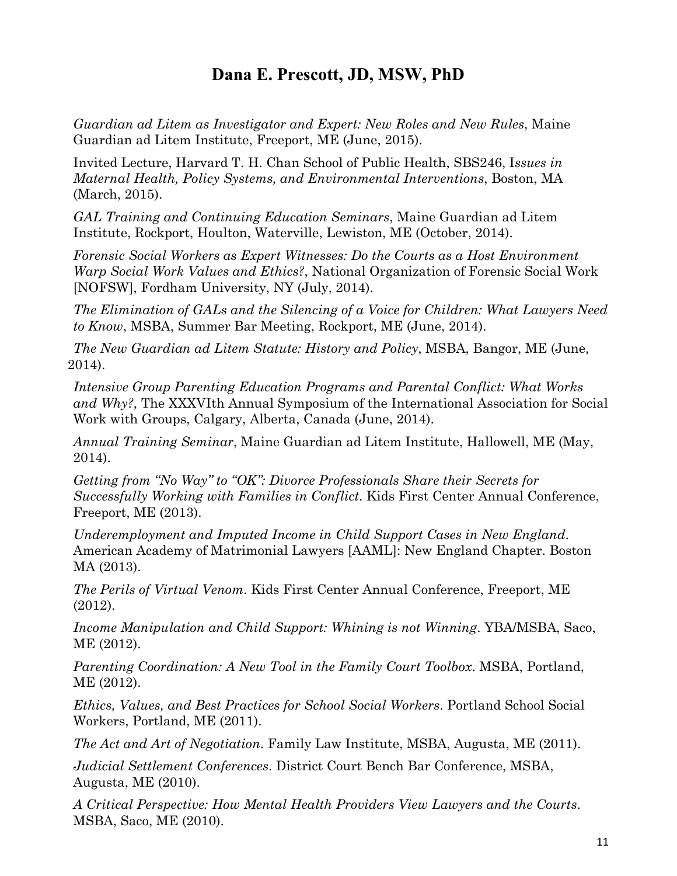*Guardian ad Litem as Investigator and Expert: New Roles and New Rules*, Maine Guardian ad Litem Institute, Freeport, ME (June, 2015).

Invited Lecture, Harvard T. H. Chan School of Public Health, SBS246, I*ssues in Maternal Health, Policy Systems, and Environmental Interventions*, Boston, MA (March, 2015).

*GAL Training and Continuing Education Seminars*, Maine Guardian ad Litem Institute, Rockport, Houlton, Waterville, Lewiston, ME (October, 2014).

*Forensic Social Workers as Expert Witnesses: Do the Courts as a Host Environment Warp Social Work Values and Ethics?*, National Organization of Forensic Social Work [NOFSW], Fordham University, NY (July, 2014).

*The Elimination of GALs and the Silencing of a Voice for Children: What Lawyers Need to Know*, MSBA, Summer Bar Meeting, Rockport, ME (June, 2014).

*The New Guardian ad Litem Statute: History and Policy*, MSBA, Bangor, ME (June, 2014).

*Intensive Group Parenting Education Programs and Parental Conflict: What Works and Why?*, The XXXVIth Annual Symposium of the International Association for Social Work with Groups, Calgary, Alberta, Canada (June, 2014).

*Annual Training Seminar*, Maine Guardian ad Litem Institute, Hallowell, ME (May, 2014).

*Getting from "No Way" to "OK": Divorce Professionals Share their Secrets for Successfully Working with Families in Conflict*. Kids First Center Annual Conference, Freeport, ME (2013).

*Underemployment and Imputed Income in Child Support Cases in New England*. American Academy of Matrimonial Lawyers [AAML]: New England Chapter. Boston MA (2013).

*The Perils of Virtual Venom*. Kids First Center Annual Conference, Freeport, ME (2012).

*Income Manipulation and Child Support: Whining is not Winning*. YBA/MSBA, Saco, ME (2012).

*Parenting Coordination: A New Tool in the Family Court Toolbox*. MSBA, Portland, ME (2012).

*Ethics, Values, and Best Practices for School Social Workers*. Portland School Social Workers, Portland, ME (2011).

*The Act and Art of Negotiation*. Family Law Institute, MSBA, Augusta, ME (2011).

*Judicial Settlement Conferences*. District Court Bench Bar Conference, MSBA, Augusta, ME (2010).

*A Critical Perspective: How Mental Health Providers View Lawyers and the Courts*. MSBA, Saco, ME (2010).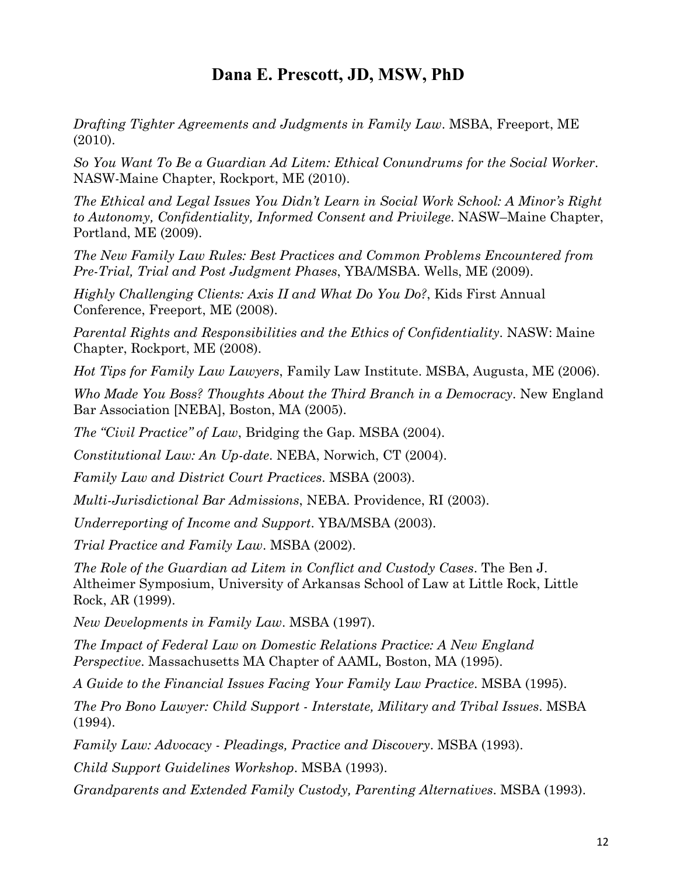*Drafting Tighter Agreements and Judgments in Family Law*. MSBA, Freeport, ME (2010).

*So You Want To Be a Guardian Ad Litem: Ethical Conundrums for the Social Worker*. NASW-Maine Chapter, Rockport, ME (2010).

*The Ethical and Legal Issues You Didn't Learn in Social Work School: A Minor's Right to Autonomy, Confidentiality, Informed Consent and Privilege*. NASW–Maine Chapter, Portland, ME (2009).

*The New Family Law Rules: Best Practices and Common Problems Encountered from Pre-Trial, Trial and Post Judgment Phases*, YBA/MSBA. Wells, ME (2009).

*Highly Challenging Clients: Axis II and What Do You Do?*, Kids First Annual Conference, Freeport, ME (2008).

*Parental Rights and Responsibilities and the Ethics of Confidentiality*. NASW: Maine Chapter, Rockport, ME (2008).

*Hot Tips for Family Law Lawyers*, Family Law Institute. MSBA, Augusta, ME (2006).

*Who Made You Boss? Thoughts About the Third Branch in a Democracy*. New England Bar Association [NEBA], Boston, MA (2005).

*The "Civil Practice" of Law*, Bridging the Gap. MSBA (2004).

*Constitutional Law: An Up-date*. NEBA, Norwich, CT (2004).

*Family Law and District Court Practices*. MSBA (2003).

*Multi-Jurisdictional Bar Admissions*, NEBA. Providence, RI (2003).

*Underreporting of Income and Support*. YBA/MSBA (2003).

*Trial Practice and Family Law*. MSBA (2002).

*The Role of the Guardian ad Litem in Conflict and Custody Cases*. The Ben J. Altheimer Symposium, University of Arkansas School of Law at Little Rock, Little Rock, AR (1999).

*New Developments in Family Law*. MSBA (1997).

*The Impact of Federal Law on Domestic Relations Practice: A New England Perspective*. Massachusetts MA Chapter of AAML, Boston, MA (1995).

*A Guide to the Financial Issues Facing Your Family Law Practice*. MSBA (1995).

*The Pro Bono Lawyer: Child Support - Interstate, Military and Tribal Issues*. MSBA (1994).

*Family Law: Advocacy - Pleadings, Practice and Discovery*. MSBA (1993).

*Child Support Guidelines Workshop*. MSBA (1993).

*Grandparents and Extended Family Custody, Parenting Alternatives*. MSBA (1993).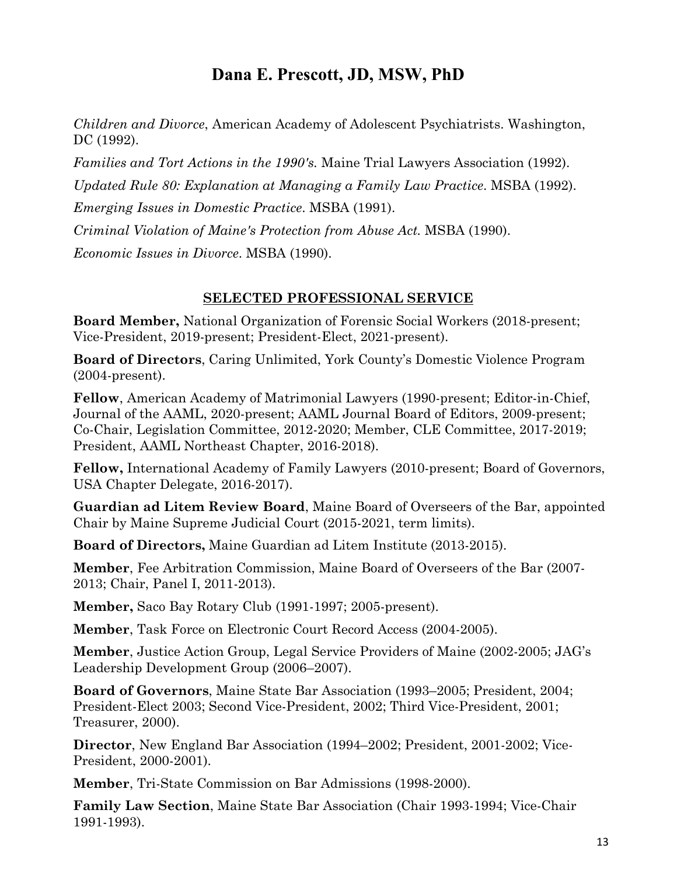*Children and Divorce*, American Academy of Adolescent Psychiatrists. Washington, DC (1992).

*Families and Tort Actions in the 1990's.* Maine Trial Lawyers Association (1992).

*Updated Rule 80: Explanation at Managing a Family Law Practice*. MSBA (1992).

*Emerging Issues in Domestic Practice*. MSBA (1991).

*Criminal Violation of Maine's Protection from Abuse Act.* MSBA (1990).

*Economic Issues in Divorce*. MSBA (1990).

#### **SELECTED PROFESSIONAL SERVICE**

**Board Member,** National Organization of Forensic Social Workers (2018-present; Vice-President, 2019-present; President-Elect, 2021-present).

**Board of Directors**, Caring Unlimited, York County's Domestic Violence Program (2004-present).

**Fellow**, American Academy of Matrimonial Lawyers (1990-present; Editor-in-Chief, Journal of the AAML, 2020-present; AAML Journal Board of Editors, 2009-present; Co-Chair, Legislation Committee, 2012-2020; Member, CLE Committee, 2017-2019; President, AAML Northeast Chapter, 2016-2018).

**Fellow,** International Academy of Family Lawyers (2010-present; Board of Governors, [USA Chapter Delegate,](https://www.iafl.com/members_data/profile/dana_prescott/index.html) 2016-2017).

**Guardian ad Litem Review Board**, Maine Board of Overseers of the Bar, appointed Chair by Maine Supreme Judicial Court (2015-2021, term limits).

**Board of Directors,** Maine Guardian ad Litem Institute (2013-2015).

**Member**, Fee Arbitration Commission, Maine Board of Overseers of the Bar (2007- 2013; Chair, Panel I, 2011-2013).

**Member,** Saco Bay Rotary Club (1991-1997; 2005-present).

**Member**, Task Force on Electronic Court Record Access (2004-2005).

**Member**, Justice Action Group, Legal Service Providers of Maine (2002-2005; JAG's Leadership Development Group (2006–2007).

**Board of Governors**, Maine State Bar Association (1993–2005; President, 2004; President-Elect 2003; Second Vice-President, 2002; Third Vice-President, 2001; Treasurer, 2000).

**Director**, New England Bar Association (1994–2002; President, 2001-2002; Vice-President, 2000-2001).

**Member**, Tri-State Commission on Bar Admissions (1998-2000).

**Family Law Section**, Maine State Bar Association (Chair 1993-1994; Vice-Chair 1991-1993).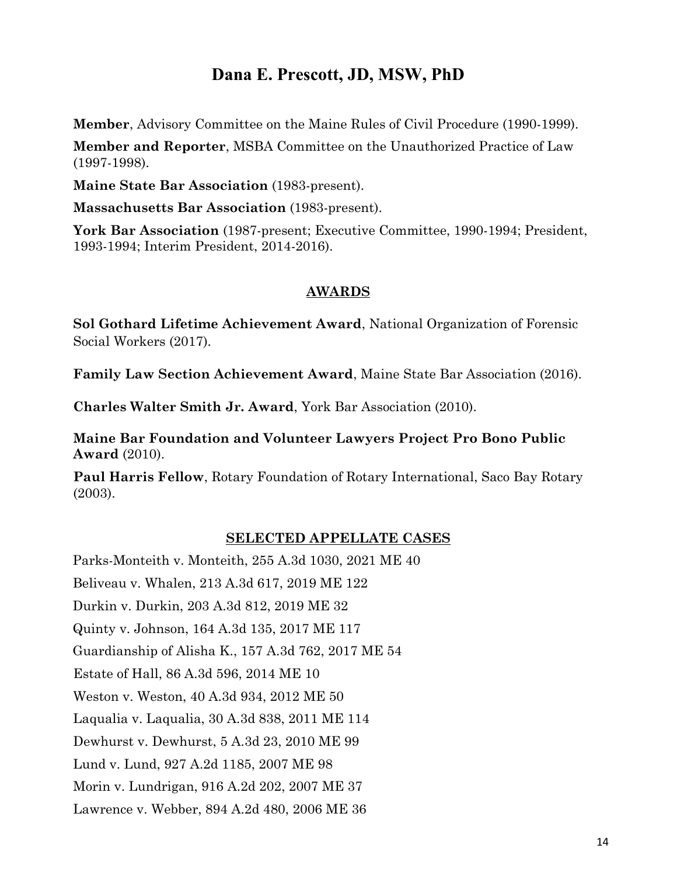**Member**, Advisory Committee on the Maine Rules of Civil Procedure (1990-1999).

**Member and Reporter**, MSBA Committee on the Unauthorized Practice of Law (1997-1998).

**Maine State Bar Association** (1983-present).

**Massachusetts Bar Association** (1983-present).

**York Bar Association** (1987-present; Executive Committee, 1990-1994; President, 1993-1994; Interim President, 2014-2016).

#### **AWARDS**

**Sol Gothard Lifetime Achievement Award**, National Organization of Forensic Social Workers (2017).

**Family Law Section Achievement Award**, Maine State Bar Association (2016).

**Charles Walter Smith Jr. Award**, York Bar Association (2010).

**Maine Bar Foundation and Volunteer Lawyers Project Pro Bono Public Award** (2010).

**Paul Harris Fellow**, Rotary Foundation of Rotary International, Saco Bay Rotary (2003).

#### **SELECTED APPELLATE CASES**

Parks-Monteith v. Monteith, 255 A.3d 1030, 2021 ME 40 Beliveau v. Whalen, 213 A.3d 617, 2019 ME 122 Durkin v. Durkin, 203 A.3d 812, 2019 ME 32 Quinty v. Johnson, 164 A.3d 135, 2017 ME 117 Guardianship of Alisha K., 157 A.3d 762, 2017 ME 54 Estate of Hall, 86 A.3d 596, 2014 ME 10 Weston v. Weston, 40 A.3d 934, 2012 ME 50 Laqualia v. Laqualia, 30 A.3d 838, 2011 ME 114 Dewhurst v. Dewhurst, 5 A.3d 23, 2010 ME 99 Lund v. Lund, 927 A.2d 1185, 2007 ME 98 Morin v. Lundrigan, 916 A.2d 202, 2007 ME 37 Lawrence v. Webber, 894 A.2d 480, 2006 ME 36